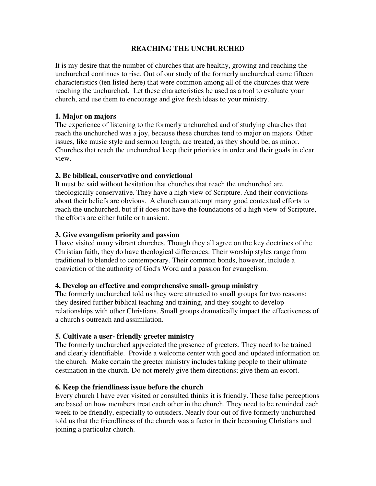## **REACHING THE UNCHURCHED**

It is my desire that the number of churches that are healthy, growing and reaching the unchurched continues to rise. Out of our study of the formerly unchurched came fifteen characteristics (ten listed here) that were common among all of the churches that were reaching the unchurched. Let these characteristics be used as a tool to evaluate your church, and use them to encourage and give fresh ideas to your ministry.

### **1. Major on majors**

The experience of listening to the formerly unchurched and of studying churches that reach the unchurched was a joy, because these churches tend to major on majors. Other issues, like music style and sermon length, are treated, as they should be, as minor. Churches that reach the unchurched keep their priorities in order and their goals in clear view.

## **2. Be biblical, conservative and convictional**

It must be said without hesitation that churches that reach the unchurched are theologically conservative. They have a high view of Scripture. And their convictions about their beliefs are obvious. A church can attempt many good contextual efforts to reach the unchurched, but if it does not have the foundations of a high view of Scripture, the efforts are either futile or transient.

## **3. Give evangelism priority and passion**

I have visited many vibrant churches. Though they all agree on the key doctrines of the Christian faith, they do have theological differences. Their worship styles range from traditional to blended to contemporary. Their common bonds, however, include a conviction of the authority of God's Word and a passion for evangelism.

### **4. Develop an effective and comprehensive small- group ministry**

The formerly unchurched told us they were attracted to small groups for two reasons: they desired further biblical teaching and training, and they sought to develop relationships with other Christians. Small groups dramatically impact the effectiveness of a church's outreach and assimilation.

# **5. Cultivate a user- friendly greeter ministry**

The formerly unchurched appreciated the presence of greeters. They need to be trained and clearly identifiable. Provide a welcome center with good and updated information on the church. Make certain the greeter ministry includes taking people to their ultimate destination in the church. Do not merely give them directions; give them an escort.

# **6. Keep the friendliness issue before the church**

Every church I have ever visited or consulted thinks it is friendly. These false perceptions are based on how members treat each other in the church. They need to be reminded each week to be friendly, especially to outsiders. Nearly four out of five formerly unchurched told us that the friendliness of the church was a factor in their becoming Christians and joining a particular church.